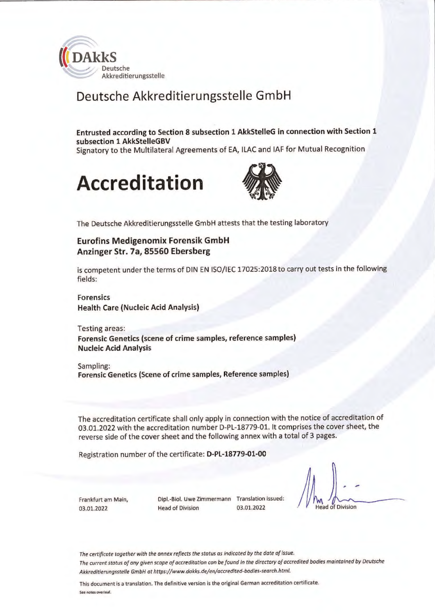

# Deutsche Akkreditierungsstelle GmbH

**Entrusted according to Section 8 subsection 1 AkkStelleG in connection with Section 1 subsection 1 AkkStelleGBV**  Signatory to the Multilateral Agreements of EA, ILAC and IAF for Mutual Recognition





The Deutsche Akkreditierungsstelle GmbH attests that the testing laboratory

#### **Eurofins Medigenomix Forensik GmbH Anzinger Str. 7a, 85560 Ebersberg**

is competent under the terms of DIN EN ISO/IEC 17025:2018 to carry out tests in the following fields:

**Forensics Health Care (Nucleic Acid Analysis)** 

Testing areas: **Forensic Genetics (scene of crime samples, reference samples) Nucleic Acid Analysis** 

Sampling: **Forensic Genetics (Scene of crime samples, Reference samples)** 

The accreditation certificate shall only apply in connection with the notice of accreditation of 03.01.2022 with the accreditation number D-PL-18779-01. It comprises the cover sheet, the reverse side of the cover sheet and the following annex with a total of 3 pages.

Registration number of the certificate: **D-PL-18779-01-00** 

Frankfurt am Main, 03.01.2022

Dipl.-Biol. Uwe Zimmermann Translation issued: Head of Division 03.01.2022

ead of Division

*The certificate together with the annex ref/ects the status as indicated by the date af issue. The current status of any given scope of occreditation can be found in the dlrectory of accredited bodies maintolned by Deutsche Akkreditierungsstelle GmbH ot https://www.dakks.de/en/occredited-bodies-search.html.* 

This document is a translation. The definitive version is the original German accreditation certificate. See notes overleaf.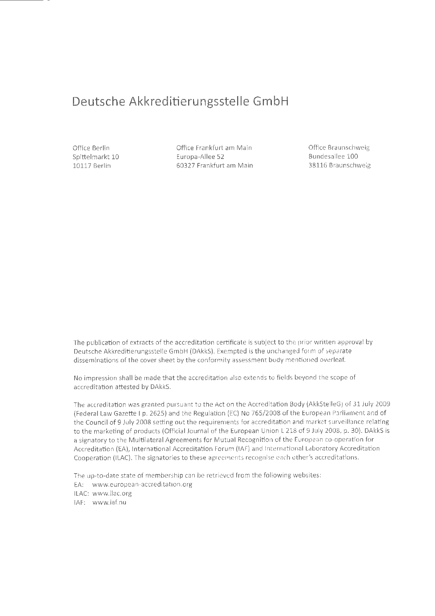## **Deutsche Akkreditierungsstelle GmbH**

Office Berlin Spittelmarkt 10 10117 Berlin

Office Frankfurt am Main Europa-Allee 52 60327 Frankfurt am Main Office Braunschweig Bundesallee 100 38116 Braunschweig

The publication of extracts of the accreditation certificate is subject to the prior written approval by Deutsche Akkreditierungsstelle GmbH (DAkkS). Exempted is the unchanged form of separate disseminations of the cover sheet by the conformity assessment body mentioned overleaf.

No impression shall be made that the accreditation also extends to fields beyond the scope of accreditation attested by DAkkS.

The accreditation was granted pursuant to the Act on the Accreditation Body (AkkStelleG) of 31 July 2009 (Federal Law Gazette I p. 2625) and the Regulation (EC) No 765/2008 of the European Parliament and of the Council of 9 July 2008 setting out the requirements for accreditation and market surveillance relating to the marketing of products (Official Journal of the European Union L 218 of 9 July 2008, p. 30). DAkkS is a signatory to the Multilateral Agreements for Mutual Recognition of the European co-operation for Accreditation (EA), International Accreditation Forum (IAF) and International Laboratory Accreditation Cooperation (ILAC). The signatories to these agreements recognise each other's accreditations.

The up-to-date state of membership can be retrieved from the following websites: EA: www.european-accreditation.org ILAC: www.ilac.org IAF: www.iaf.nu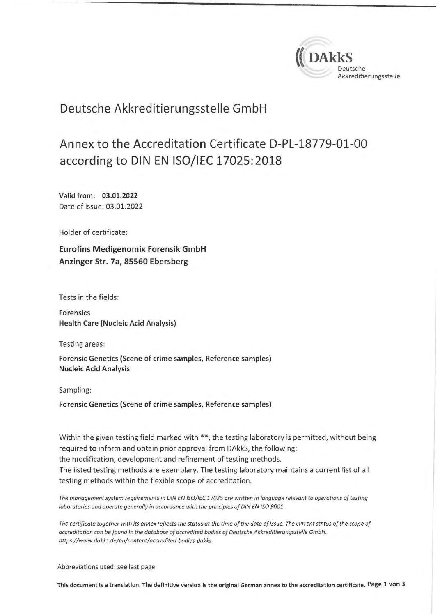

## Deutsche Akkreditierungsstelle GmbH

# Annex to the Accreditation Certificate D-PL-18779-01-00 according to DIN EN 15O/IEC 17025: 2018

**Valid from: 03.01.2022**  Date of issue: 03.01.2022

Holder of certificate:

**Eurofins Medigenomix Forensik GmbH Anzinger Str. 7a, 85560 Ebersberg** 

Tests in the fields:

**Forensics Health Care (Nucleic Acid Analysis)** 

Testing areas:

**Forensic Genetics {Scene of crime samples, Reference samples) Nucleic Acid Analysis** 

Sampling:

**Forensic Genetics (Scene of crime samples, Reference samples)** 

Within the given testing field marked with \*\*, the testing laboratory is permitted, without being required to inform and obtain prior approval from DAkkS, the following: the modification, development and refinement of testing methods. The listed testing methods are exemplary. The testing laboratory maintains a current list of all testing methods within the flexible scope of accreditation.

*The management system requirements in DIN EN 150/IEC 17025 are written in language relevant ta operations of testing laboratories and operate generolly in accordance with the principles of DIN EN ISO 9001.* 

The certificate together with its annex reflects the status at the time of the date of issue. The current status of the scope of *occreditation can be found in the database of accredited bodies of Deutsche Akkreditierungsstelle GmbH. https://www.dokks.de/en/content/accredited-bodies-dakks* 

Abbreviations used: see last page

This document is a translation. The definitive version is the original German annex to the accreditation certificate. Page 1 von 3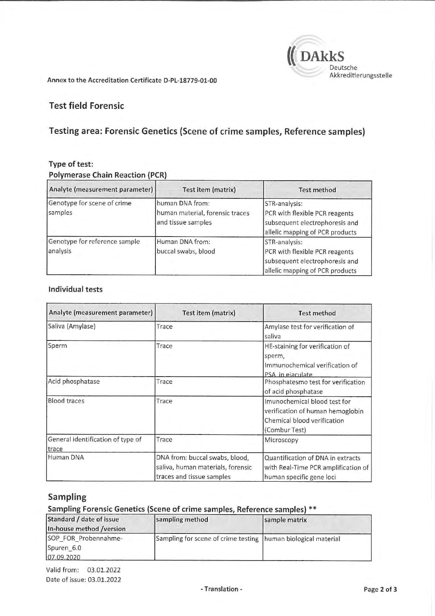

Annex to the Accreditation Certificate D-PL-18779-01-00

## Test field Forensic

## Testing area: Forensic Genetics (Scene of crime samples, Reference samples)

#### **Type of test: Polymerase Chain Reaction (PCR)**

| Analyte (measurement parameter)           | <b>Test item (matrix)</b>                                                | <b>Test method</b>                                                                                                   |
|-------------------------------------------|--------------------------------------------------------------------------|----------------------------------------------------------------------------------------------------------------------|
| Genotype for scene of crime<br>samples    | human DNA from:<br>human material, forensic traces<br>and tissue samples | STR-analysis:<br>PCR with flexible PCR reagents<br>subsequent electrophoresis and<br>allelic mapping of PCR products |
| Genotype for reference sample<br>analysis | Human DNA from:<br>buccal swabs, blood                                   | STR-analysis:<br>PCR with flexible PCR reagents<br>subsequent electrophoresis and<br>allelic mapping of PCR products |

#### **Individual tests**

| Analyte (measurement parameter)            | Test item (matrix)                                                                               | <b>Test method</b>                                                                                               |
|--------------------------------------------|--------------------------------------------------------------------------------------------------|------------------------------------------------------------------------------------------------------------------|
| Saliva (Amylase)                           | Trace                                                                                            | Amylase test for verification of<br>saliva                                                                       |
| Sperm                                      | Trace                                                                                            | HE-staining for verification of<br>sperm,<br>Immunochemical verification of<br>PSA in ejaculate                  |
| Acid phosphatase                           | Trace                                                                                            | Phosphatesmo test for verification<br>of acid phosphatase                                                        |
| <b>Blood traces</b>                        | Trace                                                                                            | Imunochemical blood test for<br>verification of human hemoglobin<br>Chemical blood verification<br>(Combur Test) |
| General identification of type of<br>trace | Trace                                                                                            | Microscopy                                                                                                       |
| Human DNA                                  | DNA from: buccal swabs, blood,<br>saliva, human materials, forensic<br>traces and tissue samples | Quantification of DNA in extracts<br>with Real-Time PCR amplification of<br>human specific gene loci             |

## **Sampling**

#### **Sampling Forensic Genetics (Scene of crime samples, Reference samples)** \*\*

| Standard / date of issue<br>In-house method /version | sampling method                                               | sample matrix |
|------------------------------------------------------|---------------------------------------------------------------|---------------|
| SOP FOR Probennahme-                                 | Sampling for scene of crime testing human biological material |               |
| Spuren 6.0                                           |                                                               |               |
| 07.09.2020                                           |                                                               |               |